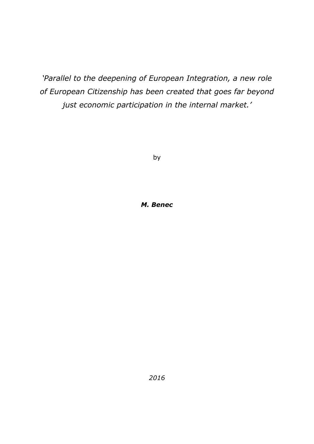*'Parallel to the deepening of European Integration, a new role of European Citizenship has been created that goes far beyond just economic participation in the internal market.'*

by

#### *M. Benec*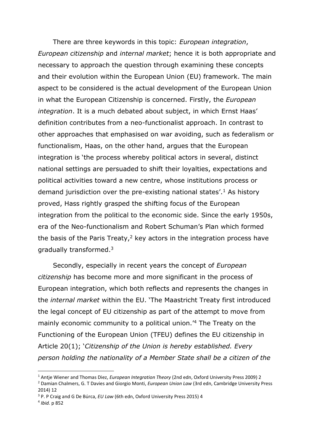There are three keywords in this topic: *European integration*, *European citizenship* and *internal market*; hence it is both appropriate and necessary to approach the question through examining these concepts and their evolution within the European Union (EU) framework. The main aspect to be considered is the actual development of the European Union in what the European Citizenship is concerned. Firstly, the *European integration*. It is a much debated about subject, in which Ernst Haas' definition contributes from a neo-functionalist approach. In contrast to other approaches that emphasised on war avoiding, such as federalism or functionalism, Haas, on the other hand, argues that the European integration is 'the process whereby political actors in several, distinct national settings are persuaded to shift their loyalties, expectations and political activities toward a new centre, whose institutions process or demand jurisdiction over the pre-existing national states'.<sup>1</sup> As history proved, Hass rightly grasped the shifting focus of the European integration from the political to the economic side. Since the early 1950s, era of the Neo-functionalism and Robert Schuman's Plan which formed the basis of the Paris Treaty, $2$  key actors in the integration process have gradually transformed.<sup>3</sup>

Secondly, especially in recent years the concept of *European citizenship* has become more and more significant in the process of European integration, which both reflects and represents the changes in the *internal market* within the EU. 'The Maastricht Treaty first introduced the legal concept of EU citizenship as part of the attempt to move from mainly economic community to a political union.'<sup>4</sup> The Treaty on the Functioning of the European Union (TFEU) defines the EU citizenship in Article 20(1); '*Citizenship of the Union is hereby established. Every person holding the nationality of a Member State shall be a citizen of the* 

<sup>1</sup> Antje Wiener and Thomas Diez, *European Integration Theory* (2nd edn, Oxford University Press 2009) 2

<sup>2</sup> Damian Chalmers, G. T Davies and Giorgio Monti, *European Union Law* (3rd edn, Cambridge University Press 2014) 12

<sup>3</sup> P. P Craig and G De Búrca, *EU Law* (6th edn, Oxford University Press 2015) 4

<sup>4</sup> *Ibid.* p 852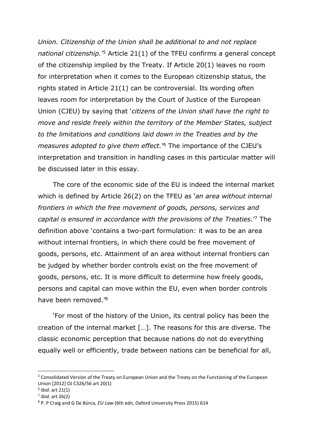*Union. Citizenship of the Union shall be additional to and not replace*  national citizenship.<sup>'5</sup> Article 21(1) of the TFEU confirms a general concept of the citizenship implied by the Treaty. If Article 20(1) leaves no room for interpretation when it comes to the European citizenship status, the rights stated in Article 21(1) can be controversial. Its wording often leaves room for interpretation by the Court of Justice of the European Union (CJEU) by saying that '*citizens of the Union shall have the right to move and reside freely within the territory of the Member States, subject to the limitations and conditions laid down in the Treaties and by the measures adopted to give them effect.*' <sup>6</sup> The importance of the CJEU's interpretation and transition in handling cases in this particular matter will be discussed later in this essay.

The core of the economic side of the EU is indeed the internal market which is defined by Article 26(2) on the TFEU as '*an area without internal frontiers in which the free movement of goods, persons, services and capital is ensured in accordance with the provisions of the Treaties.*' <sup>7</sup> The definition above 'contains a two-part formulation: it was to be an area without internal frontiers, in which there could be free movement of goods, persons, etc. Attainment of an area without internal frontiers can be judged by whether border controls exist on the free movement of goods, persons, etc. It is more difficult to determine how freely goods, persons and capital can move within the EU, even when border controls have been removed.' 8

'For most of the history of the Union, its central policy has been the creation of the internal market […]. The reasons for this are diverse. The classic economic perception that because nations do not do everything equally well or efficiently, trade between nations can be beneficial for all,

<sup>5</sup> Consolidated Version of the Treaty on European Union and the Treaty on the Functioning of the European Union [2012] OJ C326/56 art 20(1)

<sup>6</sup> *Ibid.* art 21(1)

<sup>7</sup> *Ibid*. art 26(2)

<sup>8</sup> P. P Craig and G De Búrca, *EU Law* (6th edn, Oxford University Press 2015) 614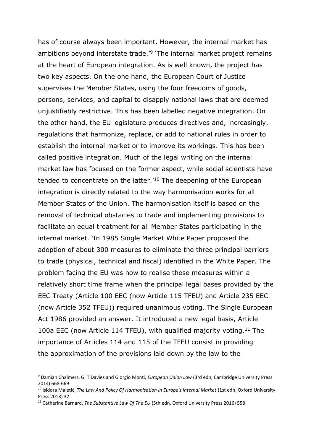has of course always been important. However, the internal market has ambitions beyond interstate trade.<sup>'9</sup> 'The internal market project remains at the heart of European integration. As is well known, the project has two key aspects. On the one hand, the European Court of Justice supervises the Member States, using the four freedoms of goods, persons, services, and capital to disapply national laws that are deemed unjustifiably restrictive. This has been labelled negative integration. On the other hand, the EU legislature produces directives and, increasingly, regulations that harmonize, replace, or add to national rules in order to establish the internal market or to improve its workings. This has been called positive integration. Much of the legal writing on the internal market law has focused on the former aspect, while social scientists have tended to concentrate on the latter.<sup>'10</sup> The deepening of the European integration is directly related to the way harmonisation works for all Member States of the Union. The harmonisation itself is based on the removal of technical obstacles to trade and implementing provisions to facilitate an equal treatment for all Member States participating in the internal market. 'In 1985 Single Market White Paper proposed the adoption of about 300 measures to eliminate the three principal barriers to trade (physical, technical and fiscal) identified in the White Paper. The problem facing the EU was how to realise these measures within a relatively short time frame when the principal legal bases provided by the EEC Treaty (Article 100 EEC (now Article 115 TFEU) and Article 235 EEC (now Article 352 TFEU)) required unanimous voting. The Single European Act 1986 provided an answer. It introduced a new legal basis, Article 100a EEC (now Article 114 TFEU), with qualified majority voting.<sup>11</sup> The importance of Articles 114 and 115 of the TFEU consist in providing the approximation of the provisions laid down by the law to the

<sup>9</sup> Damian Chalmers, G. T Davies and Giorgio Monti, *European Union Law* (3rd edn, Cambridge University Press 2014) 668-669

<sup>&</sup>lt;sup>10</sup> Isidora Maletić, *The Law And Policy Of Harmonisation In Europe's Internal Market* (1st edn, Oxford University Press 2013) 32

<sup>11</sup> Catherine Barnard, *The Substantive Law Of The EU* (5th edn, Oxford University Press 2016) 558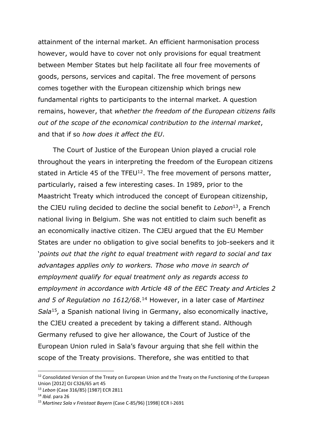attainment of the internal market. An efficient harmonisation process however, would have to cover not only provisions for equal treatment between Member States but help facilitate all four free movements of goods, persons, services and capital. The free movement of persons comes together with the European citizenship which brings new fundamental rights to participants to the internal market. A question remains, however, that *whether the freedom of the European citizens falls out of the scope of the economical contribution to the internal market*, and that if so *how does it affect the EU*.

The Court of Justice of the European Union played a crucial role throughout the years in interpreting the freedom of the European citizens stated in Article 45 of the TFEU $^{12}$ . The free movement of persons matter, particularly, raised a few interesting cases. In 1989, prior to the Maastricht Treaty which introduced the concept of European citizenship, the CJEU ruling decided to decline the social benefit to *Lebon*<sup>13</sup>, a French national living in Belgium. She was not entitled to claim such benefit as an economically inactive citizen. The CJEU argued that the EU Member States are under no obligation to give social benefits to job-seekers and it '*points out that the right to equal treatment with regard to social and tax advantages applies only to workers. Those who move in search of employment qualify for equal treatment only as regards access to employment in accordance with Article 48 of the EEC Treaty and Articles 2 and 5 of Regulation no 1612/68.* <sup>14</sup> However, in a later case of *Martinez*  Sala<sup>15</sup>, a Spanish national living in Germany, also economically inactive, the CJEU created a precedent by taking a different stand. Although Germany refused to give her allowance, the Court of Justice of the European Union ruled in Sala's favour arguing that she fell within the scope of the Treaty provisions. Therefore, she was entitled to that

 $12$  Consolidated Version of the Treaty on European Union and the Treaty on the Functioning of the European Union [2012] OJ C326/65 art 45

<sup>13</sup> *Lebon* (Case 316/85) [1987] ECR 2811

<sup>14</sup> *Ibid.* para 26

<sup>15</sup> *Martinez Sala v Freistaat Bayern* (Case C-85/96) [1998] ECR I-2691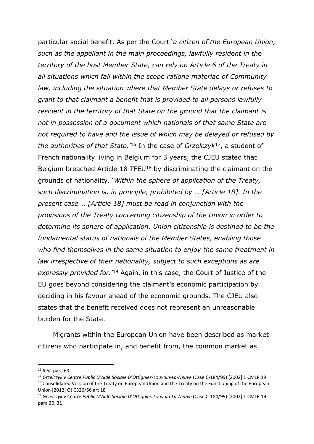particular social benefit. As per the Court '*a citizen of the European Union, such as the appellant in the main proceedings, lawfully resident in the territory of the host Member State, can rely on Article 6 of the Treaty in all situations which fall within the scope ratione materiae of Community law, including the situation where that Member State delays or refuses to grant to that claimant a benefit that is provided to all persons lawfully resident in the territory of that State on the ground that the claimant is not in possession of a document which nationals of that same State are not required to have and the issue of which may be delayed or refused by the authorities of that State.*' <sup>16</sup> In the case of *Grzelczyk*<sup>17</sup> , a student of French nationality living in Belgium for 3 years, the CJEU stated that Belgium breached Article 18 TFEU<sup>18</sup> by discriminating the claimant on the grounds of nationality. '*Within the sphere of application of the Treaty, such discrimination is, in principle, prohibited by … [Article 18]. In the present case … [Article 18] must be read in conjunction with the provisions of the Treaty concerning citizenship of the Union in order to determine its sphere of application. Union citizenship is destined to be the fundamental status of nationals of the Member States, enabling those who find themselves in the same situation to enjoy the same treatment in law irrespective of their nationality, subject to such exceptions as are*  expressly provided for.<sup>'19</sup> Again, in this case, the Court of Justice of the EU goes beyond considering the claimant's economic participation by deciding in his favour ahead of the economic grounds. The CJEU also states that the benefit received does not represent an unreasonable burden for the State.

Migrants within the European Union have been described as market citizens who participate in, and benefit from, the common market as

<sup>16</sup> *Ibid.* para 63

<sup>17</sup> *Grzelczyk v Centre Public D'Aide Sociale D'Ottignies-Louvain-La-Neuve* (Case C-184/99) [2002] 1 CMLR 19 <sup>18</sup> Consolidated Version of the Treaty on European Union and the Treaty on the Functioning of the European Union [2012] OJ C326/56 art 18

<sup>19</sup> *Grzelczyk v Centre Public D'Aide Sociale D'Ottignies-Louvain-La-Neuve* (Case C-184/99) [2002] 1 CMLR 19 para 30, 31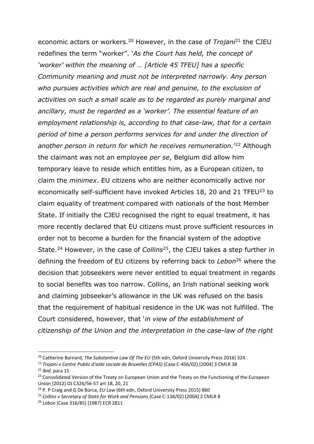economic actors or workers. <sup>20</sup> However, in the case of *Trojani*<sup>21</sup> the CJEU redefines the term "worker". '*As the Court has held, the concept of 'worker' within the meaning of … [Article 45 TFEU] has a specific Community meaning and must not be interpreted narrowly. Any person who pursues activities which are real and genuine, to the exclusion of activities on such a small scale as to be regarded as purely marginal and ancillary, must be regarded as a 'worker'. The essential feature of an employment relationship is, according to that case-law, that for a certain period of time a person performs services for and under the direction of another person in return for which he receives remuneration.*' <sup>22</sup> Although the claimant was not an employee *per se*, Belgium did allow him temporary leave to reside which entitles him, as a European citizen, to claim the *minimex*. EU citizens who are neither economically active nor economically self-sufficient have invoked Articles 18, 20 and 21 TFEU<sup>23</sup> to claim equality of treatment compared with nationals of the host Member State. If initially the CJEU recognised the right to equal treatment, it has more recently declared that EU citizens must prove sufficient resources in order not to become a burden for the financial system of the adoptive State.<sup>24</sup> However, in the case of *Collins*<sup>25</sup>, the CJEU takes a step further in defining the freedom of EU citizens by referring back to *Lebon*<sup>26</sup> where the decision that jobseekers were never entitled to equal treatment in regards to social benefits was too narrow. Collins, an Irish national seeking work and claiming jobseeker's allowance in the UK was refused on the basis that the requirement of habitual residence in the UK was not fulfilled. The Court considered, however, that '*in view of the establishment of citizenship of the Union and the interpretation in the case-law of the right* 

1

<sup>20</sup> Catherine Barnard, *The Substantive Law Of The EU* (5th edn, Oxford University Press 2016) 324

<sup>21</sup> *Trojani v Centre Public d'aide sociale de Bruxelles (CPAS)* (Case C-456/02) [2004] 3 CMLR 38

<sup>22</sup> *Ibid.* para 15

<sup>&</sup>lt;sup>23</sup> Consolidated Version of the Treaty on European Union and the Treaty on the Functioning of the European Union [2012] OJ C326/56-57 art 18, 20, 21

<sup>24</sup> P. P Craig and G De Búrca, *EU Law* (6th edn, Oxford University Press 2015) 860

<sup>25</sup> *Collins v Secretary of State for Work and Pensions* (Case C-138/02) [2004] 2 CMLR 8

<sup>26</sup> *Lebon* (Case 316/85) [1987] ECR 2811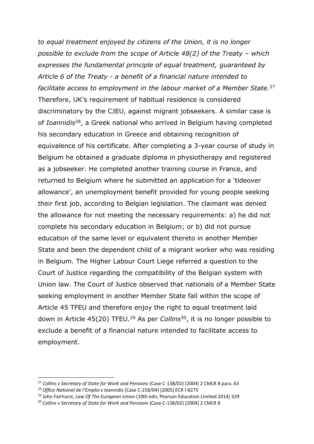*to equal treatment enjoyed by citizens of the Union, it is no longer possible to exclude from the scope of Article 48(2) of the Treaty – which expresses the fundamental principle of equal treatment, guaranteed by Article 6 of the Treaty - a benefit of a financial nature intended to facilitate access to employment in the labour market of a Member State.*<sup>27</sup> Therefore, UK's requirement of habitual residence is considered discriminatory by the CJEU, against migrant jobseekers. A similar case is of *Ioannidis*<sup>28</sup> , a Greek national who arrived in Belgium having completed his secondary education in Greece and obtaining recognition of equivalence of his certificate. After completing a 3-year course of study in Belgium he obtained a graduate diploma in physiotherapy and registered as a jobseeker. He completed another training course in France, and returned to Belgium where he submitted an application for a 'tideover allowance', an unemployment benefit provided for young people seeking their first job, according to Belgian legislation. The claimant was denied the allowance for not meeting the necessary requirements: a) he did not complete his secondary education in Belgium; or b) did not pursue education of the same level or equivalent thereto in another Member State and been the dependent child of a migrant worker who was residing in Belgium. The Higher Labour Court Liege referred a question to the Court of Justice regarding the compatibility of the Belgian system with Union law. The Court of Justice observed that nationals of a Member State seeking employment in another Member State fall within the scope of Article 45 TFEU and therefore enjoy the right to equal treatment laid down in Article 45(20) TFEU.<sup>29</sup> As per *Collins*<sup>30</sup>, it is no longer possible to exclude a benefit of a financial nature intended to facilitate access to employment.

1

<sup>27</sup> *Collins v Secretary of State for Work and Pensions* (Case C-138/02) [2004] 2 CMLR 8 para. 63

<sup>28</sup> *Office National de l'Emploi v Ioannidis* (Case C-258/04) [2005] ECR I-8275

<sup>29</sup> John Fairhurst, *Law Of The European Union* (10th edn, Pearson Education Limited 2014) 329

<sup>30</sup> *Collins v Secretary of State for Work and Pensions* (Case C-138/02) [2004] 2 CMLR 8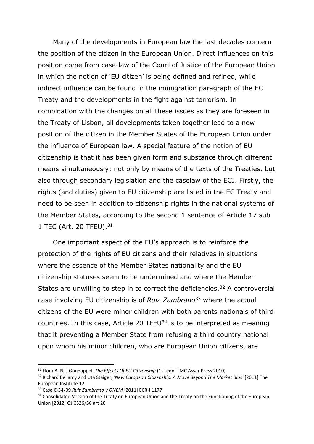Many of the developments in European law the last decades concern the position of the citizen in the European Union. Direct influences on this position come from case-law of the Court of Justice of the European Union in which the notion of 'EU citizen' is being defined and refined, while indirect influence can be found in the immigration paragraph of the EC Treaty and the developments in the fight against terrorism. In combination with the changes on all these issues as they are foreseen in the Treaty of Lisbon, all developments taken together lead to a new position of the citizen in the Member States of the European Union under the influence of European law. A special feature of the notion of EU citizenship is that it has been given form and substance through different means simultaneously: not only by means of the texts of the Treaties, but also through secondary legislation and the caselaw of the ECJ. Firstly, the rights (and duties) given to EU citizenship are listed in the EC Treaty and need to be seen in addition to citizenship rights in the national systems of the Member States, according to the second 1 sentence of Article 17 sub 1 TEC (Art. 20 TFEU).<sup>31</sup>

One important aspect of the EU's approach is to reinforce the protection of the rights of EU citizens and their relatives in situations where the essence of the Member States nationality and the EU citizenship statuses seem to be undermined and where the Member States are unwilling to step in to correct the deficiencies.<sup>32</sup> A controversial case involving EU citizenship is of *Ruiz Zambrano*<sup>33</sup> where the actual citizens of the EU were minor children with both parents nationals of third countries. In this case, Article 20 TFEU $34$  is to be interpreted as meaning that it preventing a Member State from refusing a third country national upon whom his minor children, who are European Union citizens, are

<sup>31</sup> Flora A. N. J Goudappel, *The Effects Of EU Citizenship* (1st edn, TMC Asser Press 2010)

<sup>32</sup> Richard Bellamy and Uta Staiger, *'New European Citizenship: A Move Beyond The Market Bias'* [2011] The European Institute 12

<sup>33</sup> Case C-34/09 *Ruiz Zambrano v ONEM* [2011] ECR-I 1177

<sup>&</sup>lt;sup>34</sup> Consolidated Version of the Treaty on European Union and the Treaty on the Functioning of the European Union [2012] OJ C326/56 art 20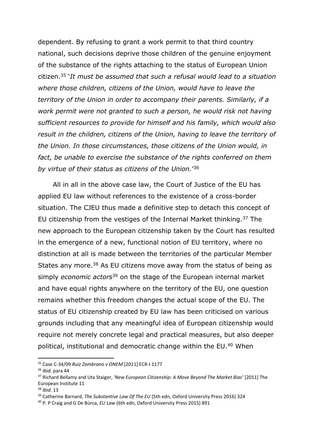dependent. By refusing to grant a work permit to that third country national, such decisions deprive those children of the genuine enjoyment of the substance of the rights attaching to the status of European Union citizen.<sup>35</sup> '*It must be assumed that such a refusal would lead to a situation where those children, citizens of the Union, would have to leave the territory of the Union in order to accompany their parents. Similarly, if a work permit were not granted to such a person, he would risk not having sufficient resources to provide for himself and his family, which would also result in the children, citizens of the Union, having to leave the territory of the Union. In those circumstances, those citizens of the Union would, in fact, be unable to exercise the substance of the rights conferred on them by virtue of their status as citizens of the Union.*' 36

All in all in the above case law, the Court of Justice of the EU has applied EU law without references to the existence of a cross-border situation. The CJEU thus made a definitive step to detach this concept of EU citizenship from the vestiges of the Internal Market thinking.<sup>37</sup> The new approach to the European citizenship taken by the Court has resulted in the emergence of a new, functional notion of EU territory, where no distinction at all is made between the territories of the particular Member States any more.<sup>38</sup> As EU citizens move away from the status of being as simply *economic actors*<sup>39</sup> on the stage of the European internal market and have equal rights anywhere on the territory of the EU, one question remains whether this freedom changes the actual scope of the EU. The status of EU citizenship created by EU law has been criticised on various grounds including that any meaningful idea of European citizenship would require not merely concrete legal and practical measures, but also deeper political, institutional and democratic change within the EU.<sup>40</sup> When

<sup>35</sup> Case C-34/09 *Ruiz Zambrano v ONEM* [2011] ECR-I 1177

<sup>36</sup> *Ibid.* para 44

<sup>37</sup> Richard Bellamy and Uta Staiger, *'New European Citizenship: A Move Beyond The Market Bias'* [2011] The European Institute 11

<sup>38</sup> *Ibid.* 13

<sup>39</sup> Catherine Barnard, *The Substantive Law Of The EU* (5th edn, Oxford University Press 2016) 324

<sup>40</sup> P. P Craig and G De Búrca, *EU Law* (6th edn, Oxford University Press 2015) 891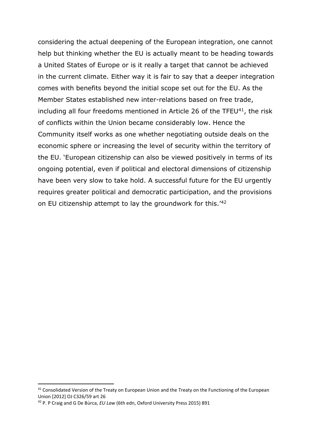considering the actual deepening of the European integration, one cannot help but thinking whether the EU is actually meant to be heading towards a United States of Europe or is it really a target that cannot be achieved in the current climate. Either way it is fair to say that a deeper integration comes with benefits beyond the initial scope set out for the EU. As the Member States established new inter-relations based on free trade, including all four freedoms mentioned in Article 26 of the TFEU $41$ , the risk of conflicts within the Union became considerably low. Hence the Community itself works as one whether negotiating outside deals on the economic sphere or increasing the level of security within the territory of the EU. 'European citizenship can also be viewed positively in terms of its ongoing potential, even if political and electoral dimensions of citizenship have been very slow to take hold. A successful future for the EU urgently requires greater political and democratic participation, and the provisions on EU citizenship attempt to lay the groundwork for this.'<sup>42</sup>

<sup>&</sup>lt;sup>41</sup> Consolidated Version of the Treaty on European Union and the Treaty on the Functioning of the European Union [2012] OJ C326/59 art 26

<sup>42</sup> P. P Craig and G De Búrca, *EU Law* (6th edn, Oxford University Press 2015) 891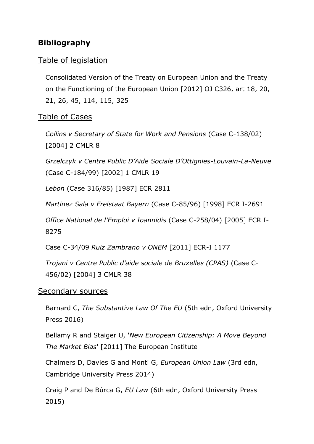# **Bibliography**

## Table of legislation

Consolidated Version of the Treaty on European Union and the Treaty on the Functioning of the European Union [2012] OJ C326, art 18, 20, 21, 26, 45, 114, 115, 325

## Table of Cases

*Collins v Secretary of State for Work and Pensions* (Case C-138/02) [2004] 2 CMLR 8

*Grzelczyk v Centre Public D'Aide Sociale D'Ottignies-Louvain-La-Neuve* (Case C-184/99) [2002] 1 CMLR 19

*Lebon* (Case 316/85) [1987] ECR 2811

*Martinez Sala v Freistaat Bayern* (Case C-85/96) [1998] ECR I-2691

*Office National de l'Emploi v Ioannidis* (Case C-258/04) [2005] ECR I-8275

Case C-34/09 *Ruiz Zambrano v ONEM* [2011] ECR-I 1177

*Trojani v Centre Public d'aide sociale de Bruxelles (CPAS)* (Case C-456/02) [2004] 3 CMLR 38

#### Secondary sources

Barnard C, *The Substantive Law Of The EU* (5th edn, Oxford University Press 2016)

Bellamy R and Staiger U, '*New European Citizenship: A Move Beyond The Market Bias*' [2011] The European Institute

Chalmers D, Davies G and Monti G, *European Union Law* (3rd edn, Cambridge University Press 2014)

Craig P and De Búrca G, *EU Law* (6th edn, Oxford University Press 2015)